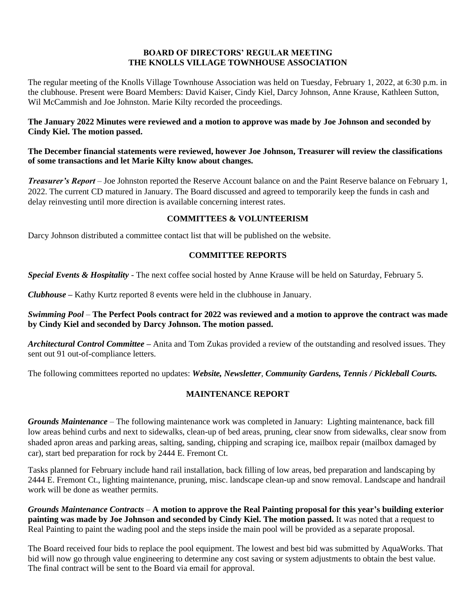### **BOARD OF DIRECTORS' REGULAR MEETING THE KNOLLS VILLAGE TOWNHOUSE ASSOCIATION**

The regular meeting of the Knolls Village Townhouse Association was held on Tuesday, February 1, 2022, at 6:30 p.m. in the clubhouse. Present were Board Members: David Kaiser, Cindy Kiel, Darcy Johnson, Anne Krause, Kathleen Sutton, Wil McCammish and Joe Johnston. Marie Kilty recorded the proceedings.

### **The January 2022 Minutes were reviewed and a motion to approve was made by Joe Johnson and seconded by Cindy Kiel. The motion passed.**

### **The December financial statements were reviewed, however Joe Johnson, Treasurer will review the classifications of some transactions and let Marie Kilty know about changes.**

*Treasurer's Report* – Joe Johnston reported the Reserve Account balance on and the Paint Reserve balance on February 1, 2022. The current CD matured in January. The Board discussed and agreed to temporarily keep the funds in cash and delay reinvesting until more direction is available concerning interest rates.

# **COMMITTEES & VOLUNTEERISM**

Darcy Johnson distributed a committee contact list that will be published on the website.

# **COMMITTEE REPORTS**

*Special Events & Hospitality* - The next coffee social hosted by Anne Krause will be held on Saturday, February 5.

*Clubhouse* **–** Kathy Kurtz reported 8 events were held in the clubhouse in January.

### *Swimming Pool* – **The Perfect Pools contract for 2022 was reviewed and a motion to approve the contract was made by Cindy Kiel and seconded by Darcy Johnson. The motion passed.**

*Architectural Control Committee* **–** Anita and Tom Zukas provided a review of the outstanding and resolved issues. They sent out 91 out-of-compliance letters.

The following committees reported no updates: *Website, Newsletter*, *Community Gardens, Tennis / Pickleball Courts.*

# **MAINTENANCE REPORT**

*Grounds Maintenance –* The following maintenance work was completed in January: Lighting maintenance, back fill low areas behind curbs and next to sidewalks, clean-up of bed areas, pruning, clear snow from sidewalks, clear snow from shaded apron areas and parking areas, salting, sanding, chipping and scraping ice, mailbox repair (mailbox damaged by car), start bed preparation for rock by 2444 E. Fremont Ct.

Tasks planned for February include hand rail installation, back filling of low areas, bed preparation and landscaping by 2444 E. Fremont Ct., lighting maintenance, pruning, misc. landscape clean-up and snow removal. Landscape and handrail work will be done as weather permits.

*Grounds Maintenance Contracts* – **A motion to approve the Real Painting proposal for this year's building exterior painting was made by Joe Johnson and seconded by Cindy Kiel. The motion passed.** It was noted that a request to Real Painting to paint the wading pool and the steps inside the main pool will be provided as a separate proposal.

The Board received four bids to replace the pool equipment. The lowest and best bid was submitted by AquaWorks. That bid will now go through value engineering to determine any cost saving or system adjustments to obtain the best value. The final contract will be sent to the Board via email for approval.